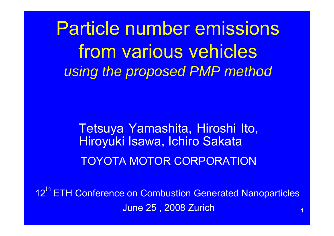Particle number emissions from various vehicles *using the proposed PMP method*

> Tetsuya Yamashita, Hiroshi Ito, Hiroyuki Isawa, Ichiro Sakata TOYOTA MOTOR CORPORATION

12<sup>th</sup> ETH Conference on Combustion Generated Nanoparticles June 25 , 2008 Zurich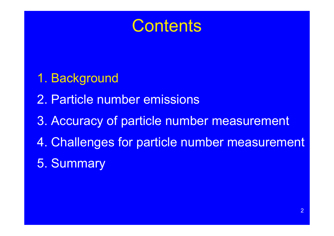# **Contents**

- 1. Background
- 2. Particle number emissions
- 3. Accuracy of particle number measurement
- 4. Challenges for particle number measurement
- 5. Summary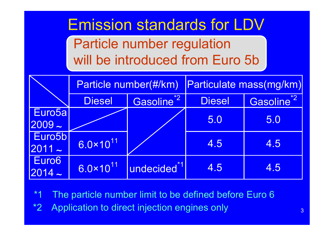# Emission standards for LDV

Particle number regulation will be introduced from Euro 5b

|                                | Particle number(#/km) |                         | Particulate mass(mg/km) |                        |  |
|--------------------------------|-----------------------|-------------------------|-------------------------|------------------------|--|
|                                | <b>Diesel</b>         | Gasoline <sup>*2</sup>  | <b>Diesel</b>           | Gasoline <sup>*2</sup> |  |
| Euro <sub>5a</sub><br>$2009 -$ |                       |                         | 5.0                     | 5.0                    |  |
| Euro5b<br>$ 2011 -$            | $6.0 \times 10^{11}$  |                         | 4.5                     | 4.5                    |  |
| Euro <sub>6</sub><br>$2014 -$  | $6.0 \times 10^{11}$  | undecided <sup>*1</sup> | 4.5                     | 4.5                    |  |

The particle number limit to be defined before Euro 6

\*2 Application to direct injection engines only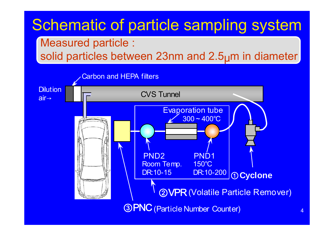# Schematic of particle sampling system

#### Measured particle :

solid particles between 23nm and 2.5<sub>U</sub>m in diameter

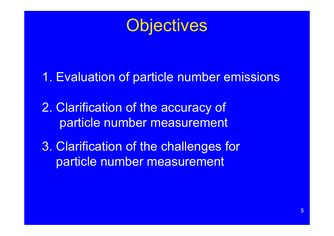**Objectives** 

- 1. Evaluation of particle number emissions
- 2. Clarification of the accuracy of particle number measurement
- 3. Clarification of the challenges for particle number measurement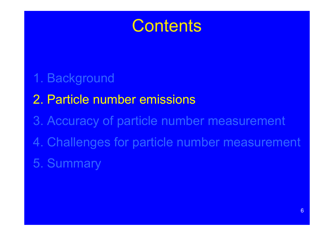

- 1. Background
- 2. Particle number emissions
- 3. Accuracy of particle number measurement
- 4. Challenges for particle number measurement
- 5. Summary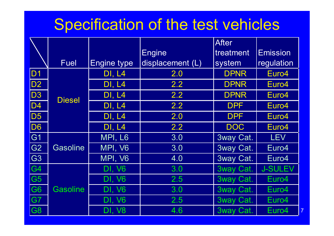# Specification of the test vehicles

|                |                 |                    |                  | <b>After</b>     |                 |
|----------------|-----------------|--------------------|------------------|------------------|-----------------|
|                |                 |                    | <b>Engine</b>    | treatment        | <b>Emission</b> |
|                | Fuel            | <b>Engine type</b> | displacement (L) | system           | regulation      |
| D <sub>1</sub> |                 | <b>DI, L4</b>      | 2.0              | <b>DPNR</b>      | Euro4           |
| D <sub>2</sub> |                 | <b>DI, L4</b>      | 2.2              | <b>DPNR</b>      | Euro4           |
| D <sub>3</sub> | <b>Diesel</b>   | <b>DI, L4</b>      | 2.2              | <b>DPNR</b>      | Euro4           |
| D <sub>4</sub> |                 | <b>DI, L4</b>      | 2.2              | <b>DPF</b>       | Euro4           |
| D <sub>5</sub> |                 | <b>DI, L4</b>      | 2.0              | <b>DPF</b>       | Euro4           |
| D <sub>6</sub> |                 | <b>DI, L4</b>      | 2.2              | <b>DOC</b>       | Euro4           |
| G <sub>1</sub> |                 | MPI, L6            | 3.0              | 3way Cat.        | <b>LEV</b>      |
| G <sub>2</sub> | <b>Gasoline</b> | MPI, V6            | 3.0              | 3way Cat.        | Euro4           |
| G <sub>3</sub> |                 | MPI, V6            | 4.0              | <b>3way Cat.</b> | Euro4           |
| G <sub>4</sub> |                 | <b>DI, V6</b>      | 3.0              | 3way Cat.        | <b>J-SULEV</b>  |
| G <sub>5</sub> |                 | <b>DI, V6</b>      | 2.5              | 3way Cat.        | Euro4           |
| G <sub>6</sub> | <b>Gasoline</b> | DI, V6             | 3.0              | 3way Cat.        | Euro4           |
| G7             |                 | <b>DI, V6</b>      | 2.5              | 3way Cat.        | Euro4           |
| G8             |                 | <b>DI, V8</b>      | 4.6              | 3way Cat.        | Euro4           |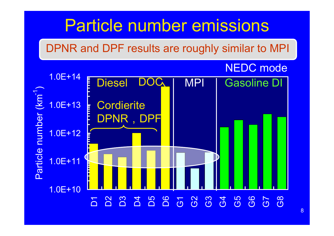# Particle number emissions

DPNR and DPF results are roughly similar to MPI

#### NEDC mode

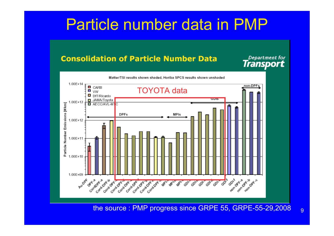# Particle number data in PMP

#### **Consolidation of Particle Number Data**

Department for<br>**Transport** 



the source : PMP progress since GRPE 55, GRPE-55-29,2008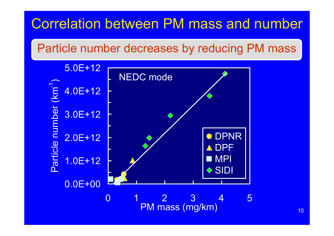## Correlation between PM mass and number

Particle number decreases by reducing PM mass

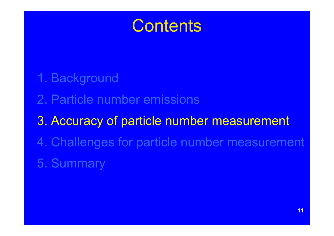

- 1. Background
- 2. Particle number emissions
- 3. Accuracy of particle number measurement
- 4. Challenges for particle number measurement
- 5. Summary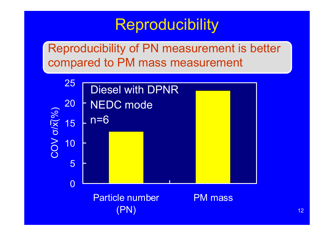# Reproducibility

Reproducibility of PN measurement is better compared to PM mass measurement



Particle number (PN)

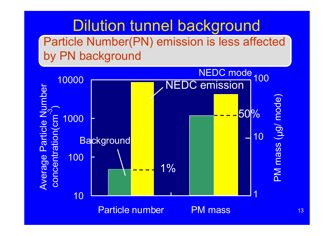### Dilution tunnel background Particle Number(PN) emission is less affected by PN background

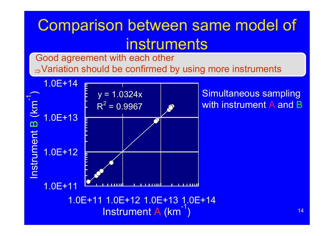# Comparison between same model of instruments

Good agreement with each other <sup>⇒</sup>Variation should be confirmed by using more instruments



Simultaneous sampling with instrument A and B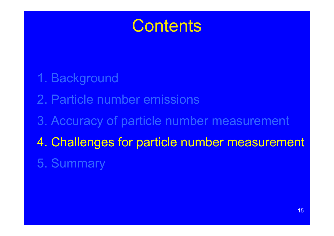# **Contents**

- 1. Background
- 2. Particle number emissions
- 3. Accuracy of particle number measurement
- 4. Challenges for particle number measurement
- 5. Summary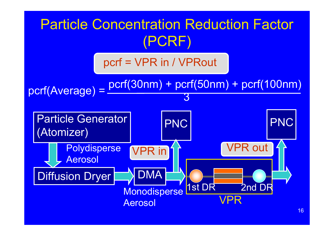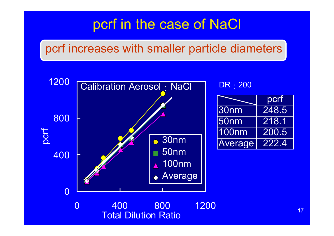### pcrf in the case of NaCl

### pcrf increases with smaller particle diameters

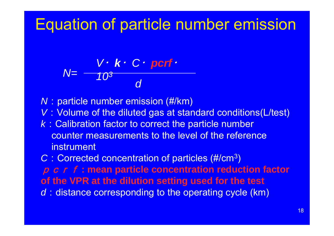# Equation of particle number emission

$$
N=\frac{V\cdot k\cdot C\cdot port\cdot}{10^3}
$$

*N*: particle number emission (#/km)

- *V*: Volume of the diluted gas at standard conditions(L/test)
- *k*:Calibration factor to correct the particle number counter measurements to the level of the reference instrument

C : Corrected concentration of particles (#/cm<sup>3</sup> )

p c r f : mean particle concentration reduction factor **of the VPR at the dilution setting used for the test** *d* : distance corresponding to the operating cycle (km)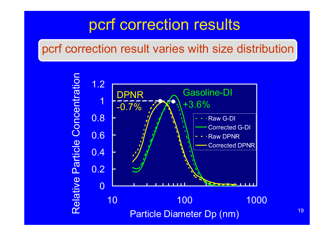# pcrf correction results

### pcrf correction result varies with size distribution

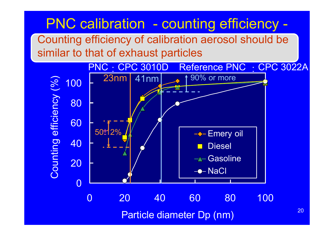## PNC calibration - counting efficiency -

Counting efficiency of calibration aerosol should be similar to that of exhaust particles

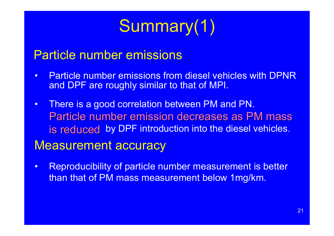# Summary(1)

#### Particle number emissions

- • Particle number emissions from diesel vehicles with DPNR and DPF are roughly similar to that of MPI.
- There is a good correlation between PM and PN. Particle number emission decreases as PM mass is reduced by DPF introduction into the diesel vehicles.

#### Measurement accuracy

 $\bullet$  Reproducibility of particle number measurement is better than that of PM mass measurement below 1mg/km.